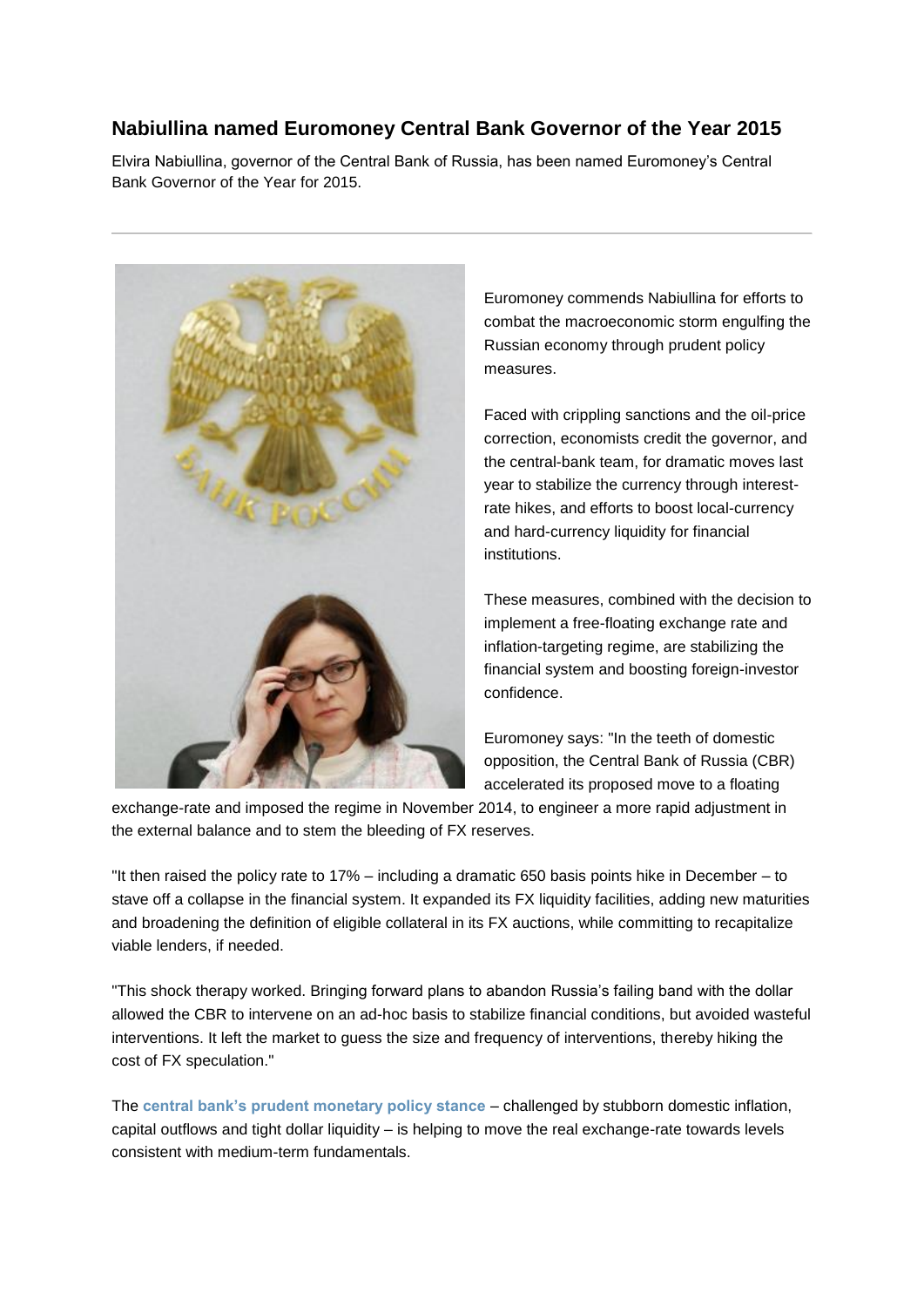## **Nabiullina named Euromoney Central Bank Governor of the Year 2015**

Elvira Nabiullina, governor of the Central Bank of Russia, has been named Euromoney's Central Bank Governor of the Year for 2015.



Euromoney commends Nabiullina for efforts to combat the macroeconomic storm engulfing the Russian economy through prudent policy measures.

Faced with crippling sanctions and the oil-price correction, economists credit the governor, and the central-bank team, for dramatic moves last year to stabilize the currency through interestrate hikes, and efforts to boost local-currency and hard-currency liquidity for financial institutions.

These measures, combined with the decision to implement a free-floating exchange rate and inflation-targeting regime, are stabilizing the financial system and boosting foreign-investor confidence.

Euromoney says: "In the teeth of domestic opposition, the Central Bank of Russia (CBR) accelerated its proposed move to a floating

exchange-rate and imposed the regime in November 2014, to engineer a more rapid adjustment in the external balance and to stem the bleeding of FX reserves.

"It then raised the policy rate to 17% – including a dramatic 650 basis points hike in December – to stave off a collapse in the financial system. It expanded its FX liquidity facilities, adding new maturities and broadening the definition of eligible collateral in its FX auctions, while committing to recapitalize viable lenders, if needed.

"This shock therapy worked. Bringing forward plans to abandon Russia's failing band with the dollar allowed the CBR to intervene on an ad-hoc basis to stabilize financial conditions, but avoided wasteful interventions. It left the market to guess the size and frequency of interventions, thereby hiking the cost of FX speculation."

The **[central bank's prudent monetary policy stance](http://www.euromoney.com/Article/3237972/Category/17/ChannelPage/0/Russian-central-bank-Nabiullina-makes-a-splash-in-first-policy-meeting.html)** – challenged by stubborn domestic inflation, capital outflows and tight dollar liquidity – is helping to move the real exchange-rate towards levels consistent with medium-term fundamentals.